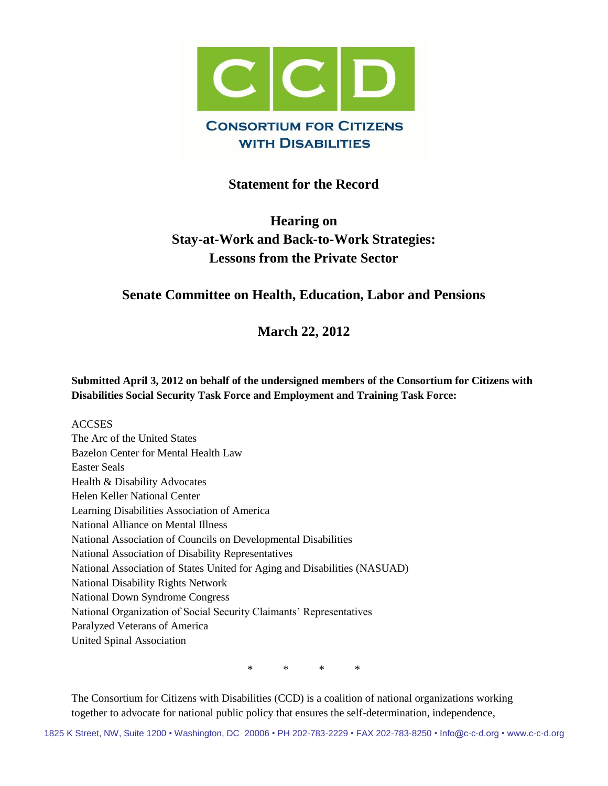

# **Statement for the Record**

# **Hearing on Stay-at-Work and Back-to-Work Strategies: Lessons from the Private Sector**

# **Senate Committee on Health, Education, Labor and Pensions**

**March 22, 2012**

**Submitted April 3, 2012 on behalf of the undersigned members of the Consortium for Citizens with Disabilities Social Security Task Force and Employment and Training Task Force:**

#### **ACCSES**

The Arc of the United States Bazelon Center for Mental Health Law Easter Seals Health & Disability Advocates Helen Keller National Center Learning Disabilities Association of America National Alliance on Mental Illness National Association of Councils on Developmental Disabilities National Association of Disability Representatives National Association of States United for Aging and Disabilities (NASUAD) National Disability Rights Network National Down Syndrome Congress National Organization of Social Security Claimants' Representatives Paralyzed Veterans of America United Spinal Association

\* \* \* \*

The Consortium for Citizens with Disabilities (CCD) is a coalition of national organizations working together to advocate for national public policy that ensures the self-determination, independence,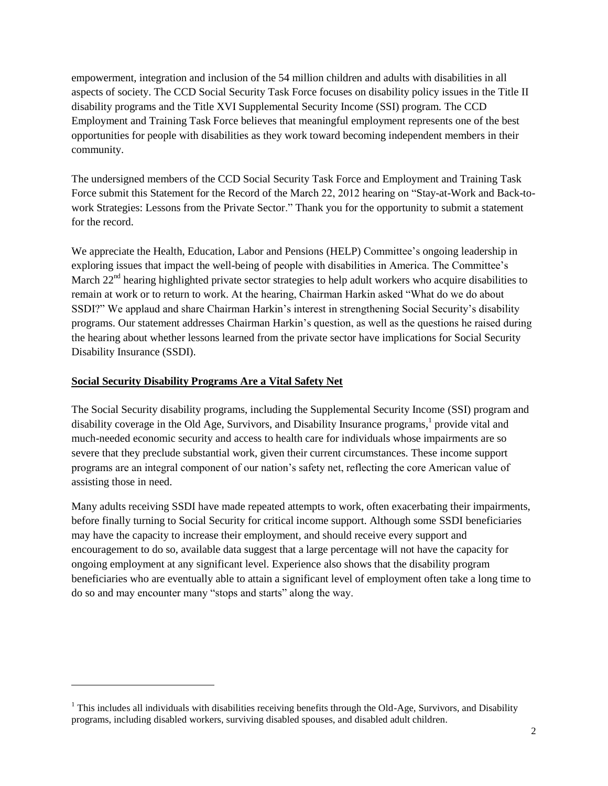empowerment, integration and inclusion of the 54 million children and adults with disabilities in all aspects of society. The CCD Social Security Task Force focuses on disability policy issues in the Title II disability programs and the Title XVI Supplemental Security Income (SSI) program. The CCD Employment and Training Task Force believes that meaningful employment represents one of the best opportunities for people with disabilities as they work toward becoming independent members in their community.

The undersigned members of the CCD Social Security Task Force and Employment and Training Task Force submit this Statement for the Record of the March 22, 2012 hearing on "Stay-at-Work and Back-towork Strategies: Lessons from the Private Sector." Thank you for the opportunity to submit a statement for the record.

We appreciate the Health, Education, Labor and Pensions (HELP) Committee's ongoing leadership in exploring issues that impact the well-being of people with disabilities in America. The Committee's March  $22<sup>nd</sup>$  hearing highlighted private sector strategies to help adult workers who acquire disabilities to remain at work or to return to work. At the hearing, Chairman Harkin asked "What do we do about SSDI?" We applaud and share Chairman Harkin's interest in strengthening Social Security's disability programs. Our statement addresses Chairman Harkin's question, as well as the questions he raised during the hearing about whether lessons learned from the private sector have implications for Social Security Disability Insurance (SSDI).

## **Social Security Disability Programs Are a Vital Safety Net**

l

The Social Security disability programs, including the Supplemental Security Income (SSI) program and disability coverage in the Old Age, Survivors, and Disability Insurance programs,<sup>1</sup> provide vital and much-needed economic security and access to health care for individuals whose impairments are so severe that they preclude substantial work, given their current circumstances. These income support programs are an integral component of our nation's safety net, reflecting the core American value of assisting those in need.

Many adults receiving SSDI have made repeated attempts to work, often exacerbating their impairments, before finally turning to Social Security for critical income support. Although some SSDI beneficiaries may have the capacity to increase their employment, and should receive every support and encouragement to do so, available data suggest that a large percentage will not have the capacity for ongoing employment at any significant level. Experience also shows that the disability program beneficiaries who are eventually able to attain a significant level of employment often take a long time to do so and may encounter many "stops and starts" along the way.

 $1$  This includes all individuals with disabilities receiving benefits through the Old-Age, Survivors, and Disability programs, including disabled workers, surviving disabled spouses, and disabled adult children.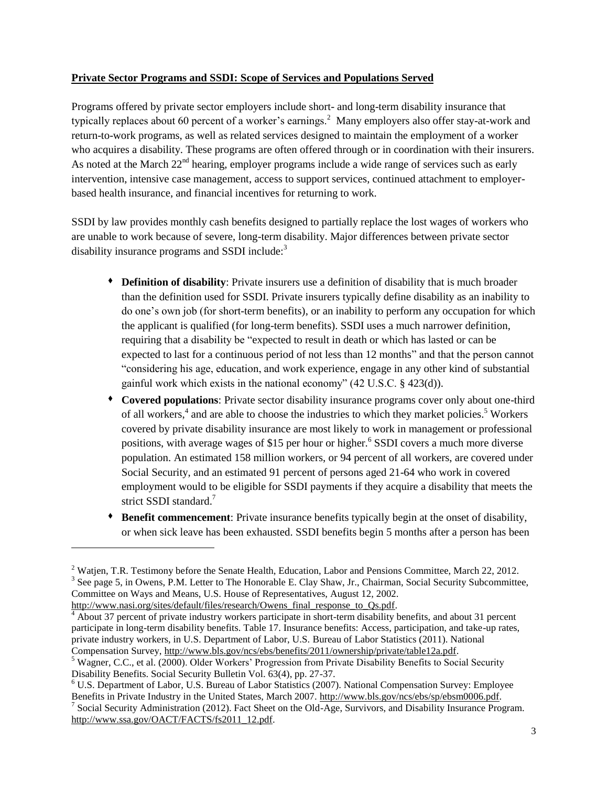#### **Private Sector Programs and SSDI: Scope of Services and Populations Served**

Programs offered by private sector employers include short- and long-term disability insurance that typically replaces about 60 percent of a worker's earnings.<sup>2</sup> Many employers also offer stay-at-work and return-to-work programs, as well as related services designed to maintain the employment of a worker who acquires a disability. These programs are often offered through or in coordination with their insurers. As noted at the March 22<sup>nd</sup> hearing, employer programs include a wide range of services such as early intervention, intensive case management, access to support services, continued attachment to employerbased health insurance, and financial incentives for returning to work.

SSDI by law provides monthly cash benefits designed to partially replace the lost wages of workers who are unable to work because of severe, long-term disability. Major differences between private sector disability insurance programs and SSDI include:<sup>3</sup>

- **Definition of disability**: Private insurers use a definition of disability that is much broader than the definition used for SSDI. Private insurers typically define disability as an inability to do one's own job (for short-term benefits), or an inability to perform any occupation for which the applicant is qualified (for long-term benefits). SSDI uses a much narrower definition, requiring that a disability be "expected to result in death or which has lasted or can be expected to last for a continuous period of not less than 12 months" and that the person cannot "considering his age, education, and work experience, engage in any other kind of substantial gainful work which exists in the national economy" (42 U.S.C. § 423(d)).
- **Covered populations**: Private sector disability insurance programs cover only about one-third of all workers,<sup>4</sup> and are able to choose the industries to which they market policies.<sup>5</sup> Workers covered by private disability insurance are most likely to work in management or professional positions, with average wages of \$15 per hour or higher.<sup>6</sup> SSDI covers a much more diverse population. An estimated 158 million workers, or 94 percent of all workers, are covered under Social Security, and an estimated 91 percent of persons aged 21-64 who work in covered employment would to be eligible for SSDI payments if they acquire a disability that meets the strict SSDI standard.<sup>7</sup>
- **Benefit commencement**: Private insurance benefits typically begin at the onset of disability, or when sick leave has been exhausted. SSDI benefits begin 5 months after a person has been

[http://www.nasi.org/sites/default/files/research/Owens\\_final\\_response\\_to\\_Qs.pdf.](http://www.nasi.org/sites/default/files/research/Owens_final_response_to_Qs.pdf)

l

<sup>&</sup>lt;sup>2</sup> Watjen, T.R. Testimony before the Senate Health, Education, Labor and Pensions Committee, March 22, 2012.  $3$  See page 5, in Owens, P.M. Letter to The Honorable E. Clay Shaw, Jr., Chairman, Social Security Subcommittee, Committee on Ways and Means, U.S. House of Representatives, August 12, 2002.

About 37 percent of private industry workers participate in short-term disability benefits, and about 31 percent participate in long-term disability benefits. Table 17. Insurance benefits: Access, participation, and take-up rates, private industry workers, in U.S. Department of Labor, U.S. Bureau of Labor Statistics (2011). National Compensation Survey, [http://www.bls.gov/ncs/ebs/benefits/2011/ownership/private/table12a.pdf.](http://www.bls.gov/ncs/ebs/benefits/2011/ownership/private/table12a.pdf)

<sup>5</sup> Wagner, C.C., et al. (2000). Older Workers' Progression from Private Disability Benefits to Social Security Disability Benefits. Social Security Bulletin Vol. 63(4), pp. 27-37.

<sup>6</sup> U.S. Department of Labor, U.S. Bureau of Labor Statistics (2007). National Compensation Survey: Employee Benefits in Private Industry in the United States, March 2007. [http://www.bls.gov/ncs/ebs/sp/ebsm0006.pdf.](http://www.bls.gov/ncs/ebs/sp/ebsm0006.pdf) <sup>7</sup> Social Security Administration (2012). Fact Sheet on the Old-Age, Survivors, and Disability Insurance Program. [http://www.ssa.gov/OACT/FACTS/fs2011\\_12.pdf.](http://www.ssa.gov/OACT/FACTS/fs2011_12.pdf)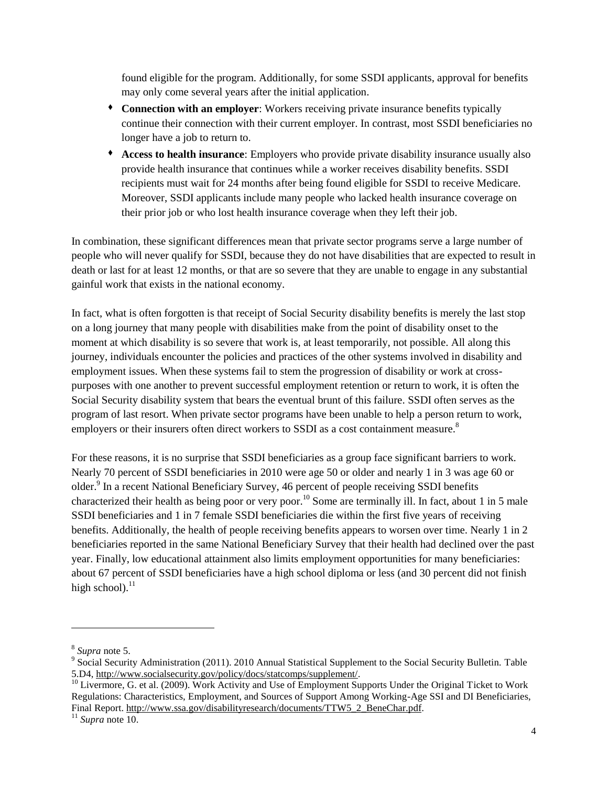found eligible for the program. Additionally, for some SSDI applicants, approval for benefits may only come several years after the initial application.

- **Connection with an employer**: Workers receiving private insurance benefits typically continue their connection with their current employer. In contrast, most SSDI beneficiaries no longer have a job to return to.
- **Access to health insurance**: Employers who provide private disability insurance usually also provide health insurance that continues while a worker receives disability benefits. SSDI recipients must wait for 24 months after being found eligible for SSDI to receive Medicare. Moreover, SSDI applicants include many people who lacked health insurance coverage on their prior job or who lost health insurance coverage when they left their job.

In combination, these significant differences mean that private sector programs serve a large number of people who will never qualify for SSDI, because they do not have disabilities that are expected to result in death or last for at least 12 months, or that are so severe that they are unable to engage in any substantial gainful work that exists in the national economy.

In fact, what is often forgotten is that receipt of Social Security disability benefits is merely the last stop on a long journey that many people with disabilities make from the point of disability onset to the moment at which disability is so severe that work is, at least temporarily, not possible. All along this journey, individuals encounter the policies and practices of the other systems involved in disability and employment issues. When these systems fail to stem the progression of disability or work at crosspurposes with one another to prevent successful employment retention or return to work, it is often the Social Security disability system that bears the eventual brunt of this failure. SSDI often serves as the program of last resort. When private sector programs have been unable to help a person return to work, employers or their insurers often direct workers to SSDI as a cost containment measure.<sup>8</sup>

For these reasons, it is no surprise that SSDI beneficiaries as a group face significant barriers to work. Nearly 70 percent of SSDI beneficiaries in 2010 were age 50 or older and nearly 1 in 3 was age 60 or older.<sup>9</sup> In a recent National Beneficiary Survey, 46 percent of people receiving SSDI benefits characterized their health as being poor or very poor.<sup>10</sup> Some are terminally ill. In fact, about 1 in 5 male SSDI beneficiaries and 1 in 7 female SSDI beneficiaries die within the first five years of receiving benefits. Additionally, the health of people receiving benefits appears to worsen over time. Nearly 1 in 2 beneficiaries reported in the same National Beneficiary Survey that their health had declined over the past year. Finally, low educational attainment also limits employment opportunities for many beneficiaries: about 67 percent of SSDI beneficiaries have a high school diploma or less (and 30 percent did not finish high school). $^{11}$ 

 $\overline{a}$ 

<sup>8</sup> *Supra* note 5.

<sup>&</sup>lt;sup>9</sup> Social Security Administration (2011). 2010 Annual Statistical Supplement to the Social Security Bulletin. Table 5.D4[, http://www.socialsecurity.gov/policy/docs/statcomps/supplement/.](http://www.socialsecurity.gov/policy/docs/statcomps/supplement/)

<sup>&</sup>lt;sup>10</sup> Livermore, G. et al. (2009). Work Activity and Use of Employment Supports Under the Original Ticket to Work Regulations: Characteristics, Employment, and Sources of Support Among Working-Age SSI and DI Beneficiaries, Final Report. [http://www.ssa.gov/disabilityresearch/documents/TTW5\\_2\\_BeneChar.pdf.](http://www.ssa.gov/disabilityresearch/documents/TTW5_2_BeneChar.pdf)

<sup>11</sup> *Supra* note 10.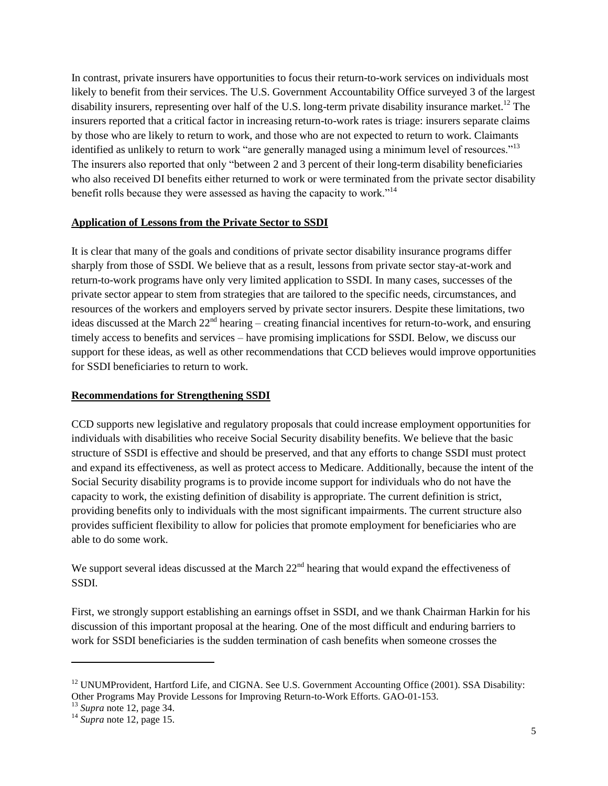In contrast, private insurers have opportunities to focus their return-to-work services on individuals most likely to benefit from their services. The U.S. Government Accountability Office surveyed 3 of the largest disability insurers, representing over half of the U.S. long-term private disability insurance market.<sup>12</sup> The insurers reported that a critical factor in increasing return-to-work rates is triage: insurers separate claims by those who are likely to return to work, and those who are not expected to return to work. Claimants identified as unlikely to return to work "are generally managed using a minimum level of resources."<sup>13</sup> The insurers also reported that only "between 2 and 3 percent of their long-term disability beneficiaries who also received DI benefits either returned to work or were terminated from the private sector disability benefit rolls because they were assessed as having the capacity to work."<sup>14</sup>

#### **Application of Lessons from the Private Sector to SSDI**

It is clear that many of the goals and conditions of private sector disability insurance programs differ sharply from those of SSDI. We believe that as a result, lessons from private sector stay-at-work and return-to-work programs have only very limited application to SSDI. In many cases, successes of the private sector appear to stem from strategies that are tailored to the specific needs, circumstances, and resources of the workers and employers served by private sector insurers. Despite these limitations, two ideas discussed at the March  $22<sup>nd</sup>$  hearing – creating financial incentives for return-to-work, and ensuring timely access to benefits and services – have promising implications for SSDI. Below, we discuss our support for these ideas, as well as other recommendations that CCD believes would improve opportunities for SSDI beneficiaries to return to work.

### **Recommendations for Strengthening SSDI**

CCD supports new legislative and regulatory proposals that could increase employment opportunities for individuals with disabilities who receive Social Security disability benefits. We believe that the basic structure of SSDI is effective and should be preserved, and that any efforts to change SSDI must protect and expand its effectiveness, as well as protect access to Medicare. Additionally, because the intent of the Social Security disability programs is to provide income support for individuals who do not have the capacity to work, the existing definition of disability is appropriate. The current definition is strict, providing benefits only to individuals with the most significant impairments. The current structure also provides sufficient flexibility to allow for policies that promote employment for beneficiaries who are able to do some work.

We support several ideas discussed at the March 22<sup>nd</sup> hearing that would expand the effectiveness of SSDI.

First, we strongly support establishing an earnings offset in SSDI, and we thank Chairman Harkin for his discussion of this important proposal at the hearing. One of the most difficult and enduring barriers to work for SSDI beneficiaries is the sudden termination of cash benefits when someone crosses the

 $\overline{a}$ 

<sup>&</sup>lt;sup>12</sup> UNUMProvident, Hartford Life, and CIGNA. See U.S. Government Accounting Office (2001). SSA Disability: Other Programs May Provide Lessons for Improving Return-to-Work Efforts. GAO-01-153.

<sup>13</sup> *Supra* note 12, page 34.

<sup>14</sup> *Supra* note 12, page 15.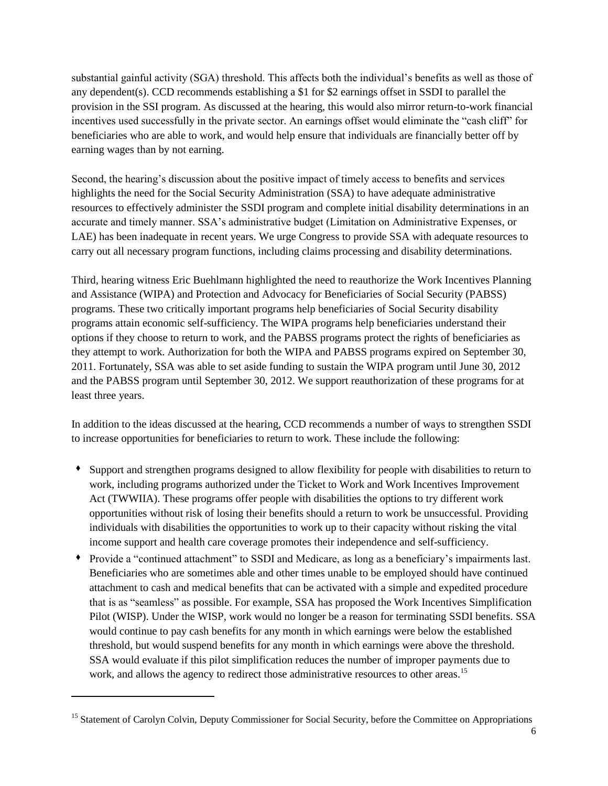substantial gainful activity (SGA) threshold. This affects both the individual's benefits as well as those of any dependent(s). CCD recommends establishing a \$1 for \$2 earnings offset in SSDI to parallel the provision in the SSI program. As discussed at the hearing, this would also mirror return-to-work financial incentives used successfully in the private sector. An earnings offset would eliminate the "cash cliff" for beneficiaries who are able to work, and would help ensure that individuals are financially better off by earning wages than by not earning.

Second, the hearing's discussion about the positive impact of timely access to benefits and services highlights the need for the Social Security Administration (SSA) to have adequate administrative resources to effectively administer the SSDI program and complete initial disability determinations in an accurate and timely manner. SSA's administrative budget (Limitation on Administrative Expenses, or LAE) has been inadequate in recent years. We urge Congress to provide SSA with adequate resources to carry out all necessary program functions, including claims processing and disability determinations.

Third, hearing witness Eric Buehlmann highlighted the need to reauthorize the Work Incentives Planning and Assistance (WIPA) and Protection and Advocacy for Beneficiaries of Social Security (PABSS) programs. These two critically important programs help beneficiaries of Social Security disability programs attain economic self-sufficiency. The WIPA programs help beneficiaries understand their options if they choose to return to work, and the PABSS programs protect the rights of beneficiaries as they attempt to work. Authorization for both the WIPA and PABSS programs expired on September 30, 2011. Fortunately, SSA was able to set aside funding to sustain the WIPA program until June 30, 2012 and the PABSS program until September 30, 2012. We support reauthorization of these programs for at least three years.

In addition to the ideas discussed at the hearing, CCD recommends a number of ways to strengthen SSDI to increase opportunities for beneficiaries to return to work. These include the following:

- Support and strengthen programs designed to allow flexibility for people with disabilities to return to work, including programs authorized under the Ticket to Work and Work Incentives Improvement Act (TWWIIA). These programs offer people with disabilities the options to try different work opportunities without risk of losing their benefits should a return to work be unsuccessful. Providing individuals with disabilities the opportunities to work up to their capacity without risking the vital income support and health care coverage promotes their independence and self-sufficiency.
- Provide a "continued attachment" to SSDI and Medicare, as long as a beneficiary's impairments last. Beneficiaries who are sometimes able and other times unable to be employed should have continued attachment to cash and medical benefits that can be activated with a simple and expedited procedure that is as "seamless" as possible. For example, SSA has proposed the Work Incentives Simplification Pilot (WISP). Under the WISP, work would no longer be a reason for terminating SSDI benefits. SSA would continue to pay cash benefits for any month in which earnings were below the established threshold, but would suspend benefits for any month in which earnings were above the threshold. SSA would evaluate if this pilot simplification reduces the number of improper payments due to work, and allows the agency to redirect those administrative resources to other areas.<sup>15</sup>

 $\overline{a}$ 

<sup>&</sup>lt;sup>15</sup> Statement of Carolyn Colvin, Deputy Commissioner for Social Security, before the Committee on Appropriations